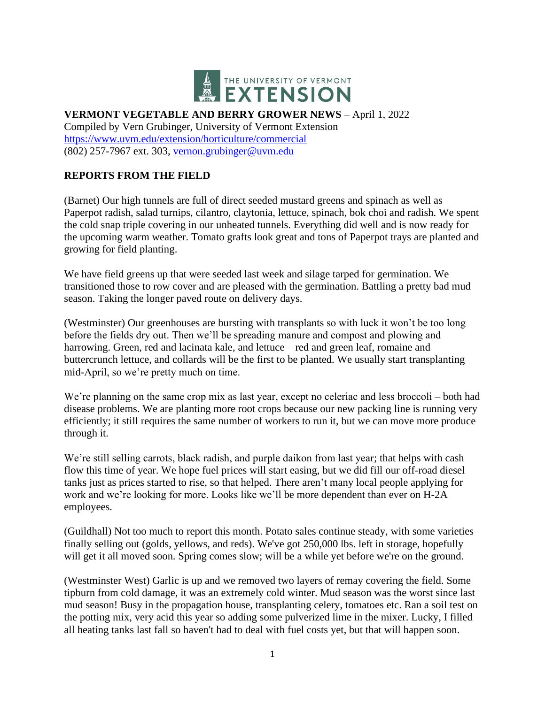

# **VERMONT VEGETABLE AND BERRY GROWER NEWS** – April 1, 2022

Compiled by Vern Grubinger, University of Vermont Extension <https://www.uvm.edu/extension/horticulture/commercial> (802) 257-7967 ext. 303, [vernon.grubinger@uvm.edu](mailto:vernon.grubinger@uvm.edu)

## **REPORTS FROM THE FIELD**

(Barnet) Our high tunnels are full of direct seeded mustard greens and spinach as well as Paperpot radish, salad turnips, cilantro, claytonia, lettuce, spinach, bok choi and radish. We spent the cold snap triple covering in our unheated tunnels. Everything did well and is now ready for the upcoming warm weather. Tomato grafts look great and tons of Paperpot trays are planted and growing for field planting.

We have field greens up that were seeded last week and silage tarped for germination. We transitioned those to row cover and are pleased with the germination. Battling a pretty bad mud season. Taking the longer paved route on delivery days.

(Westminster) Our greenhouses are bursting with transplants so with luck it won't be too long before the fields dry out. Then we'll be spreading manure and compost and plowing and harrowing. Green, red and lacinata kale, and lettuce – red and green leaf, romaine and buttercrunch lettuce, and collards will be the first to be planted. We usually start transplanting mid-April, so we're pretty much on time.

We're planning on the same crop mix as last year, except no celeriac and less broccoli – both had disease problems. We are planting more root crops because our new packing line is running very efficiently; it still requires the same number of workers to run it, but we can move more produce through it.

We're still selling carrots, black radish, and purple daikon from last year; that helps with cash flow this time of year. We hope fuel prices will start easing, but we did fill our off-road diesel tanks just as prices started to rise, so that helped. There aren't many local people applying for work and we're looking for more. Looks like we'll be more dependent than ever on H-2A employees.

(Guildhall) Not too much to report this month. Potato sales continue steady, with some varieties finally selling out (golds, yellows, and reds). We've got 250,000 lbs. left in storage, hopefully will get it all moved soon. Spring comes slow; will be a while yet before we're on the ground.

(Westminster West) Garlic is up and we removed two layers of remay covering the field. Some tipburn from cold damage, it was an extremely cold winter. Mud season was the worst since last mud season! Busy in the propagation house, transplanting celery, tomatoes etc. Ran a soil test on the potting mix, very acid this year so adding some pulverized lime in the mixer. Lucky, I filled all heating tanks last fall so haven't had to deal with fuel costs yet, but that will happen soon.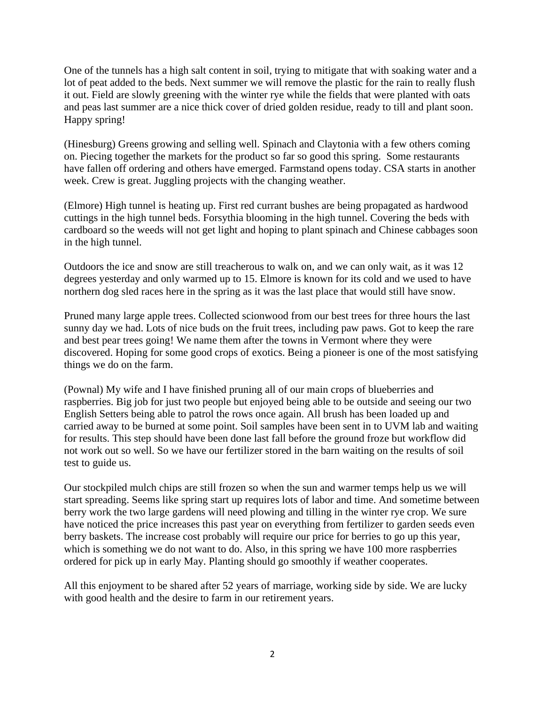One of the tunnels has a high salt content in soil, trying to mitigate that with soaking water and a lot of peat added to the beds. Next summer we will remove the plastic for the rain to really flush it out. Field are slowly greening with the winter rye while the fields that were planted with oats and peas last summer are a nice thick cover of dried golden residue, ready to till and plant soon. Happy spring!

(Hinesburg) Greens growing and selling well. Spinach and Claytonia with a few others coming on. Piecing together the markets for the product so far so good this spring. Some restaurants have fallen off ordering and others have emerged. Farmstand opens today. CSA starts in another week. Crew is great. Juggling projects with the changing weather.

(Elmore) High tunnel is heating up. First red currant bushes are being propagated as hardwood cuttings in the high tunnel beds. Forsythia blooming in the high tunnel. Covering the beds with cardboard so the weeds will not get light and hoping to plant spinach and Chinese cabbages soon in the high tunnel.

Outdoors the ice and snow are still treacherous to walk on, and we can only wait, as it was 12 degrees yesterday and only warmed up to 15. Elmore is known for its cold and we used to have northern dog sled races here in the spring as it was the last place that would still have snow.

Pruned many large apple trees. Collected scionwood from our best trees for three hours the last sunny day we had. Lots of nice buds on the fruit trees, including paw paws. Got to keep the rare and best pear trees going! We name them after the towns in Vermont where they were discovered. Hoping for some good crops of exotics. Being a pioneer is one of the most satisfying things we do on the farm.

(Pownal) My wife and I have finished pruning all of our main crops of blueberries and raspberries. Big job for just two people but enjoyed being able to be outside and seeing our two English Setters being able to patrol the rows once again. All brush has been loaded up and carried away to be burned at some point. Soil samples have been sent in to UVM lab and waiting for results. This step should have been done last fall before the ground froze but workflow did not work out so well. So we have our fertilizer stored in the barn waiting on the results of soil test to guide us.

Our stockpiled mulch chips are still frozen so when the sun and warmer temps help us we will start spreading. Seems like spring start up requires lots of labor and time. And sometime between berry work the two large gardens will need plowing and tilling in the winter rye crop. We sure have noticed the price increases this past year on everything from fertilizer to garden seeds even berry baskets. The increase cost probably will require our price for berries to go up this year, which is something we do not want to do. Also, in this spring we have 100 more raspberries ordered for pick up in early May. Planting should go smoothly if weather cooperates.

All this enjoyment to be shared after 52 years of marriage, working side by side. We are lucky with good health and the desire to farm in our retirement years.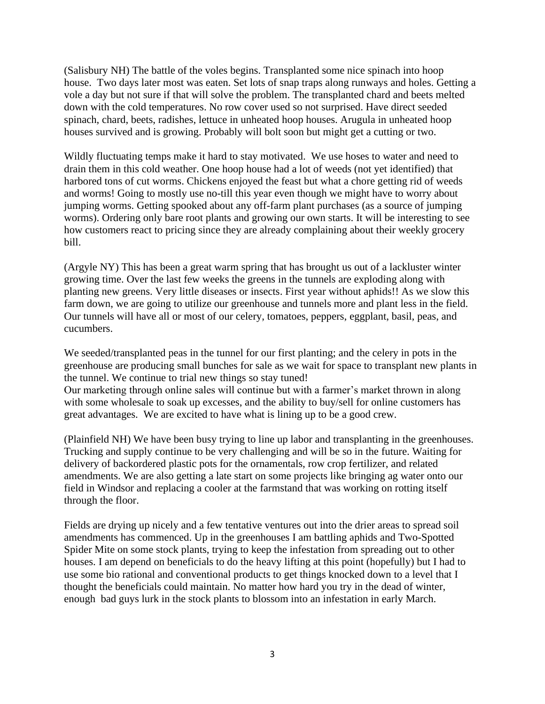(Salisbury NH) The battle of the voles begins. Transplanted some nice spinach into hoop house. Two days later most was eaten. Set lots of snap traps along runways and holes. Getting a vole a day but not sure if that will solve the problem. The transplanted chard and beets melted down with the cold temperatures. No row cover used so not surprised. Have direct seeded spinach, chard, beets, radishes, lettuce in unheated hoop houses. Arugula in unheated hoop houses survived and is growing. Probably will bolt soon but might get a cutting or two.

Wildly fluctuating temps make it hard to stay motivated. We use hoses to water and need to drain them in this cold weather. One hoop house had a lot of weeds (not yet identified) that harbored tons of cut worms. Chickens enjoyed the feast but what a chore getting rid of weeds and worms! Going to mostly use no-till this year even though we might have to worry about jumping worms. Getting spooked about any off-farm plant purchases (as a source of jumping worms). Ordering only bare root plants and growing our own starts. It will be interesting to see how customers react to pricing since they are already complaining about their weekly grocery bill.

(Argyle NY) This has been a great warm spring that has brought us out of a lackluster winter growing time. Over the last few weeks the greens in the tunnels are exploding along with planting new greens. Very little diseases or insects. First year without aphids!! As we slow this farm down, we are going to utilize our greenhouse and tunnels more and plant less in the field. Our tunnels will have all or most of our celery, tomatoes, peppers, eggplant, basil, peas, and cucumbers.

We seeded/transplanted peas in the tunnel for our first planting; and the celery in pots in the greenhouse are producing small bunches for sale as we wait for space to transplant new plants in the tunnel. We continue to trial new things so stay tuned!

Our marketing through online sales will continue but with a farmer's market thrown in along with some wholesale to soak up excesses, and the ability to buy/sell for online customers has great advantages. We are excited to have what is lining up to be a good crew.

(Plainfield NH) We have been busy trying to line up labor and transplanting in the greenhouses. Trucking and supply continue to be very challenging and will be so in the future. Waiting for delivery of backordered plastic pots for the ornamentals, row crop fertilizer, and related amendments. We are also getting a late start on some projects like bringing ag water onto our field in Windsor and replacing a cooler at the farmstand that was working on rotting itself through the floor.

Fields are drying up nicely and a few tentative ventures out into the drier areas to spread soil amendments has commenced. Up in the greenhouses I am battling aphids and Two-Spotted Spider Mite on some stock plants, trying to keep the infestation from spreading out to other houses. I am depend on beneficials to do the heavy lifting at this point (hopefully) but I had to use some bio rational and conventional products to get things knocked down to a level that I thought the beneficials could maintain. No matter how hard you try in the dead of winter, enough bad guys lurk in the stock plants to blossom into an infestation in early March.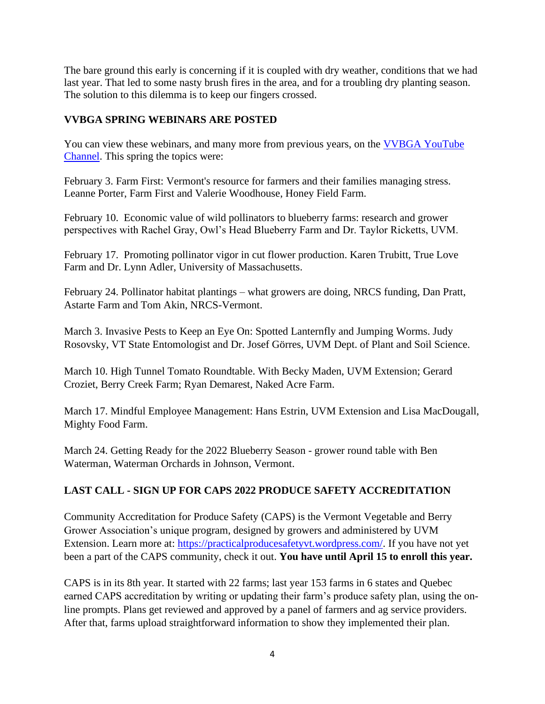The bare ground this early is concerning if it is coupled with dry weather, conditions that we had last year. That led to some nasty brush fires in the area, and for a troubling dry planting season. The solution to this dilemma is to keep our fingers crossed.

#### **VVBGA SPRING WEBINARS ARE POSTED**

You can view these webinars, and many more from previous years, on the VVBGA YouTube [Channel.](https://www.youtube.com/channel/UCy1XzL_YX4j8hLCreEyYLBQ) This spring the topics were:

February 3. Farm First: Vermont's resource for farmers and their families managing stress. Leanne Porter, Farm First and Valerie Woodhouse, Honey Field Farm.

February 10. Economic value of wild pollinators to blueberry farms: research and grower perspectives with Rachel Gray, Owl's Head Blueberry Farm and Dr. Taylor Ricketts, UVM.

February 17. Promoting pollinator vigor in cut flower production. Karen Trubitt, True Love Farm and Dr. Lynn Adler, University of Massachusetts.

February 24. Pollinator habitat plantings – what growers are doing, NRCS funding, Dan Pratt, Astarte Farm and Tom Akin, NRCS-Vermont.

March 3. Invasive Pests to Keep an Eye On: Spotted Lanternfly and Jumping Worms. Judy Rosovsky, VT State Entomologist and Dr. Josef Görres, UVM Dept. of Plant and Soil Science.

March 10. High Tunnel Tomato Roundtable. With Becky Maden, UVM Extension; Gerard Croziet, Berry Creek Farm; Ryan Demarest, Naked Acre Farm.

March 17. Mindful Employee Management: Hans Estrin, UVM Extension and Lisa MacDougall, Mighty Food Farm.

March 24. Getting Ready for the 2022 Blueberry Season - grower round table with Ben Waterman, Waterman Orchards in Johnson, Vermont.

## **LAST CALL - SIGN UP FOR CAPS 2022 PRODUCE SAFETY ACCREDITATION**

Community Accreditation for Produce Safety (CAPS) is the Vermont Vegetable and Berry Grower Association's unique program, designed by growers and administered by UVM Extension. Learn more at: [https://practicalproducesafetyvt.wordpress.com/.](https://practicalproducesafetyvt.wordpress.com/) If you have not yet been a part of the CAPS community, check it out. **You have until April 15 to enroll this year.**

CAPS is in its 8th year. It started with 22 farms; last year 153 farms in 6 states and Quebec earned CAPS accreditation by writing or updating their farm's produce safety plan, using the online prompts. Plans get reviewed and approved by a panel of farmers and ag service providers. After that, farms upload straightforward information to show they implemented their plan.